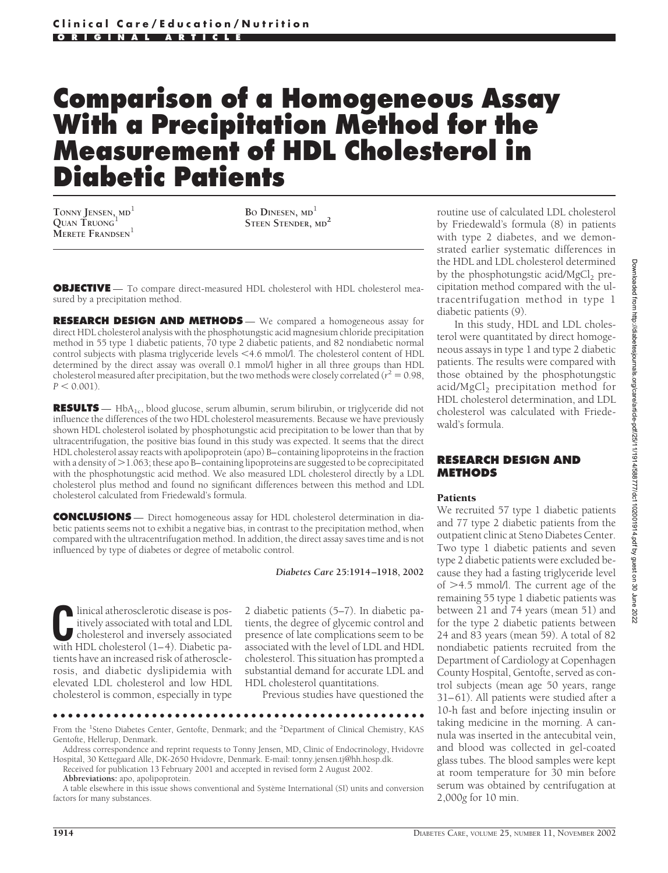# **Comparison of a Homogeneous Assay With a Precipitation Method for the Measurement of HDL Cholesterol in Diabetic Patients**

**TONNY JENSEN, MD**<sup>1</sup> **QUAN TRUONG**<sup>1</sup> **MERETE FRANDSEN**<sup>1</sup>

**BO DINESEN, MD**<sup>1</sup> **STEEN STENDER, MD<sup>2</sup>**

**OBJECTIVE** — To compare direct-measured HDL cholesterol with HDL cholesterol measured by a precipitation method.

**RESEARCH DESIGN AND METHODS** — We compared a homogeneous assay for direct HDL cholesterol analysis with the phosphotungstic acid magnesium chloride precipitation method in 55 type 1 diabetic patients, 70 type 2 diabetic patients, and 82 nondiabetic normal control subjects with plasma triglyceride levels <4.6 mmol/l. The cholesterol content of HDL determined by the direct assay was overall 0.1 mmol/l higher in all three groups than HDL cholesterol measured after precipitation, but the two methods were closely correlated ( $r^2 = 0.98$ ,  $P < 0.001$ ).

RESULTS — HbA<sub>1c</sub>, blood glucose, serum albumin, serum bilirubin, or triglyceride did not influence the differences of the two HDL cholesterol measurements. Because we have previously shown HDL cholesterol isolated by phosphotungstic acid precipitation to be lower than that by ultracentrifugation, the positive bias found in this study was expected. It seems that the direct HDL cholesterol assay reacts with apolipoprotein (apo) B–containing lipoproteins in the fraction with a density of  $>$  1.063; these apo B–containing lipoproteins are suggested to be coprecipitated with the phosphotungstic acid method. We also measured LDL cholesterol directly by a LDL cholesterol plus method and found no significant differences between this method and LDL cholesterol calculated from Friedewald's formula.

**CONCLUSIONS** — Direct homogeneous assay for HDL cholesterol determination in diabetic patients seems not to exhibit a negative bias, in contrast to the precipitation method, when compared with the ultracentrifugation method. In addition, the direct assay saves time and is not influenced by type of diabetes or degree of metabolic control.

*Diabetes Care* **25:1914–1918, 2002**

linical atherosclerotic disease is positively associated with total and LDL cholesterol and inversely associated with HDL cholesterol (1–4). Diabetic patients have an increased risk of atherosclerosis, and diabetic dyslipidemia with elevated LDL cholesterol and low HDL cholesterol is common, especially in type

2 diabetic patients (5–7). In diabetic patients, the degree of glycemic control and presence of late complications seem to be associated with the level of LDL and HDL cholesterol. This situation has prompted a substantial demand for accurate LDL and HDL cholesterol quantitations.

Previous studies have questioned the

●●●●●●●●●●●●●●●●●●●●●●●●●●●●●●●●●●●●●●●●●●●●●●●●● From the <sup>1</sup>Steno Diabetes Center, Gentofte, Denmark; and the <sup>2</sup>Department of Clinical Chemistry, KAS Gentofte, Hellerup, Denmark.

Address correspondence and reprint requests to Tonny Jensen, MD, Clinic of Endocrinology, Hvidovre Hospital, 30 Kettegaard Alle, DK-2650 Hvidovre, Denmark. E-mail: tonny.jensen.tj@hh.hosp.dk.

Received for publication 13 February 2001 and accepted in revised form 2 August 2002.

**Abbreviations:** apo, apolipoprotein.

A table elsewhere in this issue shows conventional and Système International (SI) units and conversion factors for many substances.

routine use of calculated LDL cholesterol by Friedewald's formula (8) in patients with type 2 diabetes, and we demonstrated earlier systematic differences in the HDL and LDL cholesterol determined by the phosphotungstic acid/ $MgCl<sub>2</sub>$  precipitation method compared with the ultracentrifugation method in type 1 diabetic patients (9).

In this study, HDL and LDL cholesterol were quantitated by direct homogeneous assays in type 1 and type 2 diabetic patients. The results were compared with those obtained by the phosphotungstic acid/MgCl<sub>2</sub> precipitation method for HDL cholesterol determination, and LDL cholesterol was calculated with Friedewald's formula.

## **RESEARCH DESIGN AND METHODS**

#### Patients

We recruited 57 type 1 diabetic patients and 77 type 2 diabetic patients from the outpatient clinic at Steno Diabetes Center. Two type 1 diabetic patients and seven type 2 diabetic patients were excluded because they had a fasting triglyceride level of  $>4.5$  mmol/l. The current age of the remaining 55 type 1 diabetic patients was between 21 and 74 years (mean 51) and for the type 2 diabetic patients between 24 and 83 years (mean 59). A total of 82 nondiabetic patients recruited from the Department of Cardiology at Copenhagen County Hospital, Gentofte, served as control subjects (mean age 50 years, range 31–61). All patients were studied after a 10-h fast and before injecting insulin or taking medicine in the morning. A cannula was inserted in the antecubital vein, and blood was collected in gel-coated glass tubes. The blood samples were kept at room temperature for 30 min before serum was obtained by centrifugation at 2,000*g* for 10 min.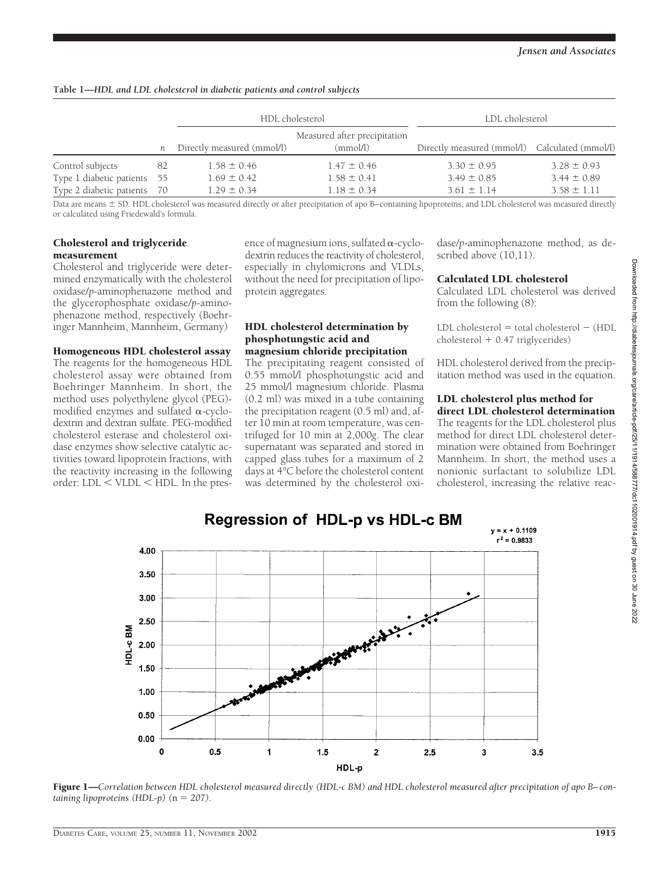|                          | n    | HDL cholesterol            |                                          | LDL cholesterol                                |                 |
|--------------------------|------|----------------------------|------------------------------------------|------------------------------------------------|-----------------|
|                          |      | Directly measured (mmol/l) | Measured after precipitation<br>(mmol/l) | Directly measured (mmol/l) Calculated (mmol/l) |                 |
| Control subjects         | -82  | $1.58 \pm 0.46$            | $1.47 \pm 0.46$                          | $3.30 \pm 0.95$                                | $3.28 \pm 0.93$ |
| Type 1 diabetic patients | - 55 | $1.69 \pm 0.42$            | $1.58 \pm 0.41$                          | $3.49 \pm 0.85$                                | $3.44 \pm 0.89$ |
| Type 2 diabetic patients | - 70 | $1.29 \pm 0.34$            | $1.18 \pm 0.34$                          | $3.61 \pm 1.14$                                | $3.58 \pm 1.11$ |

**Table 1—***HDL and LDL cholesterol in diabetic patients and control subjects*

Data are means  $\pm$  SD. HDL cholesterol was measured directly or after precipitation of apo B–containing lipoproteins, and LDL cholesterol was measured directly or calculated using Friedewald's formula.

## Cholesterol and triglyceride measurement

Cholesterol and triglyceride were determined enzymatically with the cholesterol oxidase/*p*-aminophenazone method and the glycerophosphate oxidase/*p*-aminophenazone method, respectively (Boehringer Mannheim, Mannheim, Germany)

Homogeneous HDL cholesterol assay

The reagents for the homogeneous HDL cholesterol assay were obtained from Boehringer Mannheim. In short, the method uses polyethylene glycol (PEG) modified enzymes and sulfated  $\alpha$ -cyclodextrin and dextran sulfate. PEG-modified cholesterol esterase and cholesterol oxidase enzymes show selective catalytic activities toward lipoprotein fractions, with the reactivity increasing in the following order: LDL < VLDL < HDL. In the presence of magnesium ions, sulfated  $\alpha$ -cyclodextrin reduces the reactivity of cholesterol, especially in chylomicrons and VLDLs, without the need for precipitation of lipoprotein aggregates.

#### HDL cholesterol determination by phosphotungstic acid and magnesium chloride precipitation

The precipitating reagent consisted of 0.55 mmol/l phosphotungstic acid and 25 mmol/l magnesium chloride. Plasma (0.2 ml) was mixed in a tube containing the precipitation reagent (0.5 ml) and, after 10 min at room temperature, was centrifuged for 10 min at 2,000*g*. The clear supernatant was separated and stored in capped glass tubes for a maximum of 2 days at 4°C before the cholesterol content was determined by the cholesterol oxidase/*p*-aminophenazone method, as described above (10,11).

## Calculated LDL cholesterol

Calculated LDL cholesterol was derived from the following (8):

 $LDL$  cholesterol  $=$  total cholesterol  $-$  (HDL  $cholesterol + 0.47$  triglycerides)

HDL cholesterol derived from the precipitation method was used in the equation.

#### LDL cholesterol plus method for direct LDL cholesterol determination

The reagents for the LDL cholesterol plus method for direct LDL cholesterol determination were obtained from Boehringer Mannheim. In short, the method uses a nonionic surfactant to solubilize LDL cholesterol, increasing the relative reac-



Figure 1—Correlation between HDL cholesterol measured directly (HDL-c BM) and HDL cholesterol measured after precipitation of apo B-con*taining lipoproteins (HDL-p)*  $(n = 207)$ .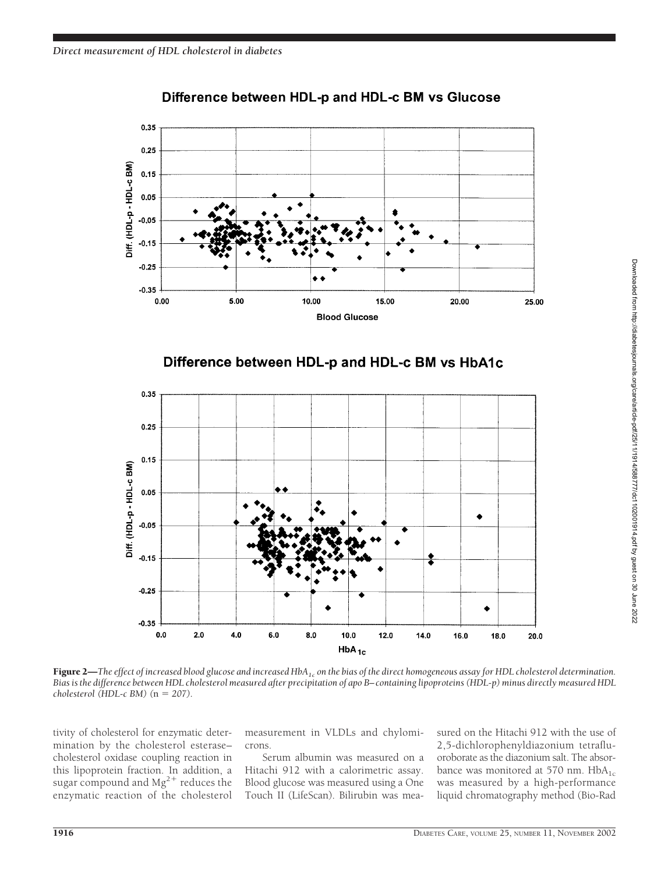

# Difference between HDL-p and HDL-c BM vs Glucose





Figure 2—The effect of increased blood glucose and increased HbA<sub>1c</sub> on the bias of the direct homogeneous assay for HDL cholesterol determination. *Bias is the difference between HDL cholesterol measured after precipitation of apo B–containing lipoproteins (HDL-p) minus directly measured HDL cholesterol* (*HDL-c BM*) ( $n = 207$ ).

tivity of cholesterol for enzymatic determination by the cholesterol esterase– cholesterol oxidase coupling reaction in this lipoprotein fraction. In addition, a sugar compound and  $Mg^{2+}$  reduces the enzymatic reaction of the cholesterol

measurement in VLDLs and chylomicrons.

Serum albumin was measured on a Hitachi 912 with a calorimetric assay. Blood glucose was measured using a One Touch II (LifeScan). Bilirubin was measured on the Hitachi 912 with the use of 2,5-dichlorophenyldiazonium tetrafluoroborate as the diazonium salt. The absorbance was monitored at 570 nm.  $HbA_{1c}$ was measured by a high-performance liquid chromatography method (Bio-Rad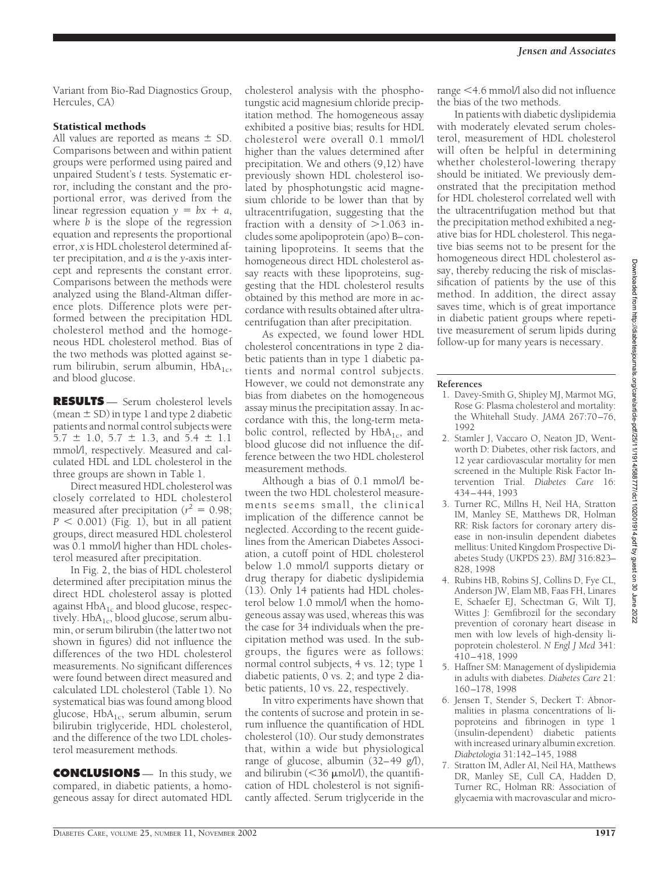Variant from Bio-Rad Diagnostics Group, Hercules, CA)

# Statistical methods

All values are reported as means  $\pm$  SD. Comparisons between and within patient groups were performed using paired and unpaired Student's *t* tests. Systematic error, including the constant and the proportional error, was derived from the linear regression equation  $y = bx + a$ , where *b* is the slope of the regression equation and represents the proportional error, *x* is HDL cholesterol determined after precipitation, and *a* is the *y*-axis intercept and represents the constant error. Comparisons between the methods were analyzed using the Bland-Altman difference plots. Difference plots were performed between the precipitation HDL cholesterol method and the homogeneous HDL cholesterol method. Bias of the two methods was plotted against serum bilirubin, serum albumin,  $HbA_{1c}$ , and blood glucose.

**RESULTS** — Serum cholesterol levels (mean  $\pm$  SD) in type 1 and type 2 diabetic patients and normal control subjects were  $5.7 \pm 1.0$ ,  $5.7 \pm 1.3$ , and  $5.4 \pm 1.1$ mmol/l, respectively. Measured and calculated HDL and LDL cholesterol in the three groups are shown in Table 1.

Direct measured HDL cholesterol was closely correlated to HDL cholesterol measured after precipitation ( $r^2 = 0.98$ ;  $P < 0.001$ ) (Fig. 1), but in all patient groups, direct measured HDL cholesterol was 0.1 mmol/l higher than HDL cholesterol measured after precipitation.

In Fig. 2, the bias of HDL cholesterol determined after precipitation minus the direct HDL cholesterol assay is plotted against  $HbA_{1c}$  and blood glucose, respectively. Hb $A_{1c}$ , blood glucose, serum albumin, or serum bilirubin (the latter two not shown in figures) did not influence the differences of the two HDL cholesterol measurements. No significant differences were found between direct measured and calculated LDL cholesterol (Table 1). No systematical bias was found among blood glucose,  $HbA_{1c}$ , serum albumin, serum bilirubin triglyceride, HDL cholesterol, and the difference of the two LDL cholesterol measurement methods.

**CONCLUSIONS** — In this study, we compared, in diabetic patients, a homogeneous assay for direct automated HDL

cholesterol analysis with the phosphotungstic acid magnesium chloride precipitation method. The homogeneous assay exhibited a positive bias; results for HDL cholesterol were overall 0.1 mmol/l higher than the values determined after precipitation. We and others (9,12) have previously shown HDL cholesterol isolated by phosphotungstic acid magnesium chloride to be lower than that by ultracentrifugation, suggesting that the fraction with a density of  $>1.063$  includes some apolipoprotein (apo) B–containing lipoproteins. It seems that the homogeneous direct HDL cholesterol assay reacts with these lipoproteins, suggesting that the HDL cholesterol results obtained by this method are more in accordance with results obtained after ultracentrifugation than after precipitation.

As expected, we found lower HDL cholesterol concentrations in type 2 diabetic patients than in type 1 diabetic patients and normal control subjects. However, we could not demonstrate any bias from diabetes on the homogeneous assay minus the precipitation assay. In accordance with this, the long-term metabolic control, reflected by  $HbA_{1c}$ , and blood glucose did not influence the difference between the two HDL cholesterol measurement methods.

Although a bias of 0.1 mmol/l between the two HDL cholesterol measurements seems small, the clinical implication of the difference cannot be neglected. According to the recent guidelines from the American Diabetes Association, a cutoff point of HDL cholesterol below 1.0 mmol/l supports dietary or drug therapy for diabetic dyslipidemia (13). Only 14 patients had HDL cholesterol below 1.0 mmol/l when the homogeneous assay was used, whereas this was the case for 34 individuals when the precipitation method was used. In the subgroups, the figures were as follows: normal control subjects, 4 vs. 12; type 1 diabetic patients, 0 vs. 2; and type 2 diabetic patients, 10 vs. 22, respectively.

In vitro experiments have shown that the contents of sucrose and protein in serum influence the quantification of HDL cholesterol (10). Our study demonstrates that, within a wide but physiological range of glucose, albumin (32–49 g/l), and bilirubin ( $\leq$ 36  $\mu$ mol/l), the quantification of HDL cholesterol is not significantly affected. Serum triglyceride in the

range <4.6 mmol/l also did not influence the bias of the two methods.

In patients with diabetic dyslipidemia with moderately elevated serum cholesterol, measurement of HDL cholesterol will often be helpful in determining whether cholesterol-lowering therapy should be initiated. We previously demonstrated that the precipitation method for HDL cholesterol correlated well with the ultracentrifugation method but that the precipitation method exhibited a negative bias for HDL cholesterol. This negative bias seems not to be present for the homogeneous direct HDL cholesterol assay, thereby reducing the risk of misclassification of patients by the use of this method. In addition, the direct assay saves time, which is of great importance in diabetic patient groups where repetitive measurement of serum lipids during follow-up for many years is necessary.

## **References**

- 1. Davey-Smith G, Shipley MJ, Marmot MG, Rose G: Plasma cholesterol and mortality: the Whitehall Study. *JAMA* 267:70–76, 1992
- 2. Stamler J, Vaccaro O, Neaton JD, Wentworth D: Diabetes, other risk factors, and 12 year cardiovascular mortality for men screened in the Multiple Risk Factor Intervention Trial. *Diabetes Care* 16: 434–444, 1993
- 3. Turner RC, Millns H, Neil HA, Stratton IM, Manley SE, Matthews DR, Holman RR: Risk factors for coronary artery disease in non-insulin dependent diabetes mellitus: United Kingdom Prospective Diabetes Study (UKPDS 23). *BMJ* 316:823– 828, 1998
- 4. Rubins HB, Robins SJ, Collins D, Fye CL, Anderson JW, Elam MB, Faas FH, Linares E, Schaefer EJ, Schectman G, Wilt TJ, Wittes J: Gemfibrozil for the secondary prevention of coronary heart disease in men with low levels of high-density lipoprotein cholesterol. *N Engl J Med* 341: 410–418, 1999
- 5. Haffner SM: Management of dyslipidemia in adults with diabetes. *Diabetes Care* 21: 160–178, 1998
- 6. Jensen T, Stender S, Deckert T: Abnormalities in plasma concentrations of lipoproteins and fibrinogen in type 1 (insulin-dependent) diabetic patients with increased urinary albumin excretion. *Diabetologia* 31:142–145, 1988
- 7. Stratton IM, Adler AI, Neil HA, Matthews DR, Manley SE, Cull CA, Hadden D, Turner RC, Holman RR: Association of glycaemia with macrovascular and micro-